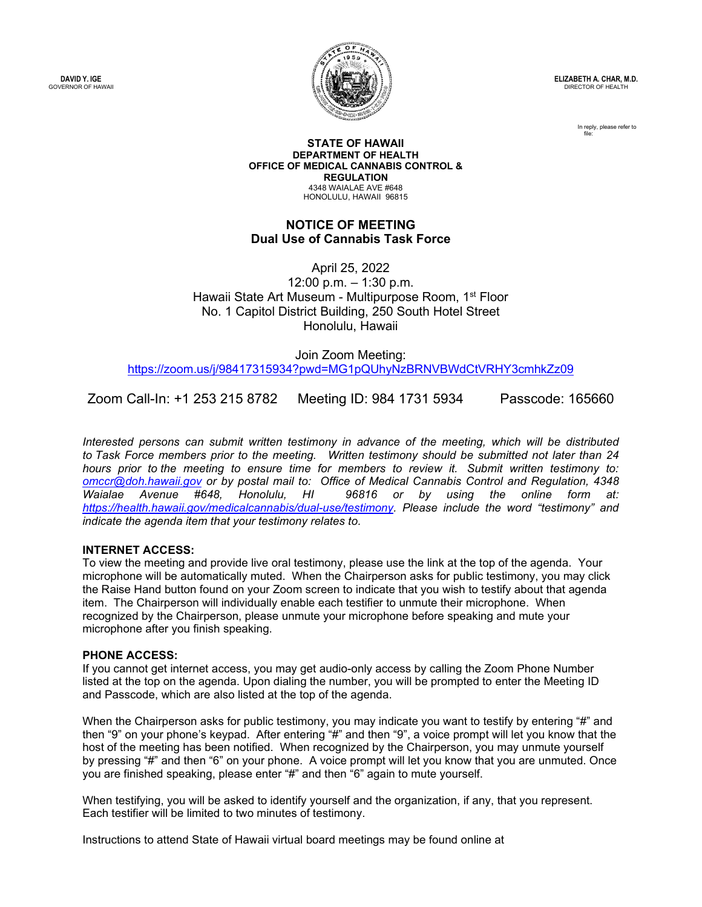**DAVID Y. IGE** GOVERNOR OF HAWAII



**ELIZABETH A. CHAR, M.D.** DIRECTOR OF HEALTH

> In reply, please refer to file:

#### **STATE OF HAWAII DEPARTMENT OF HEALTH OFFICE OF MEDICAL CANNABIS CONTROL & REGULATION** 4348 WAIALAE AVE #648 HONOLULU, HAWAII 96815

## **NOTICE OF MEETING Dual Use of Cannabis Task Force**

April 25, 2022 12:00 p.m. – 1:30 p.m. Hawaii State Art Museum - Multipurpose Room, 1<sup>st</sup> Floor No. 1 Capitol District Building, 250 South Hotel Street Honolulu, Hawaii

Join Zoom Meeting: <https://zoom.us/j/98417315934?pwd=MG1pQUhyNzBRNVBWdCtVRHY3cmhkZz09>

Zoom Call-In: +1 253 215 8782 Meeting ID: 984 1731 5934 Passcode: 165660

*Interested persons can submit written testimony in advance of the meeting, which will be distributed to Task Force members prior to the meeting.  Written testimony should be submitted not later than 24 hours prior to the meeting to ensure time for members to review it.  Submit written testimony to: [omccr@doh.hawaii.gov](mailto:omccr@doh.hawaii.gov) or by postal mail to: Office of Medical Cannabis Control and Regulation, 4348 Waialae Avenue #648, Honolulu, HI 96816 or by using the online form at: [https://health.hawaii.gov/medicalcannabis/dual](https://health.hawaii.gov/medicalcannabis/dual-use/testimony)-use/testimony. Please include the word "testimony" and indicate the agenda item that your testimony relates to.*

### **INTERNET ACCESS:**

To view the meeting and provide live oral testimony, please use the link at the top of the agenda. Your microphone will be automatically muted. When the Chairperson asks for public testimony, you may click the Raise Hand button found on your Zoom screen to indicate that you wish to testify about that agenda item. The Chairperson will individually enable each testifier to unmute their microphone. When recognized by the Chairperson, please unmute your microphone before speaking and mute your microphone after you finish speaking.

### **PHONE ACCESS:**

If you cannot get internet access, you may get audio-only access by calling the Zoom Phone Number listed at the top on the agenda. Upon dialing the number, you will be prompted to enter the Meeting ID and Passcode, which are also listed at the top of the agenda.

When the Chairperson asks for public testimony, you may indicate you want to testify by entering "#" and then "9" on your phone's keypad. After entering "#" and then "9", a voice prompt will let you know that the host of the meeting has been notified. When recognized by the Chairperson, you may unmute yourself by pressing "#" and then "6" on your phone. A voice prompt will let you know that you are unmuted. Once you are finished speaking, please enter "#" and then "6" again to mute yourself.

When testifying, you will be asked to identify yourself and the organization, if any, that you represent. Each testifier will be limited to two minutes of testimony.

Instructions to attend State of Hawaii virtual board meetings may be found online at